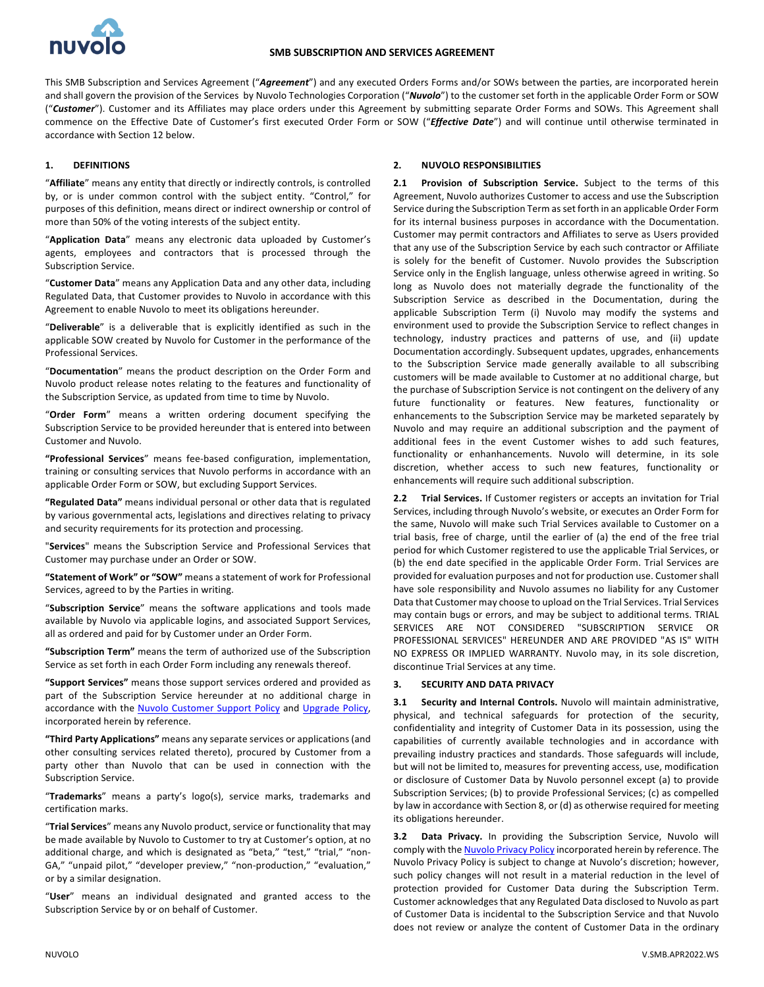

This SMB Subscription and Services Agreement ("*Agreement*") and any executed Orders Forms and/or SOWs between the parties, are incorporated herein and shall govern the provision of the Services by Nuvolo Technologies Corporation ("*Nuvolo*") to the customer set forth in the applicable Order Form or SOW ("Customer"). Customer and its Affiliates may place orders under this Agreement by submitting separate Order Forms and SOWs. This Agreement shall commence on the Effective Date of Customer's first executed Order Form or SOW ("*Effective Date*") and will continue until otherwise terminated in accordance with Section 12 below.

### **1. DEFINITIONS**

"**Affiliate**" means any entity that directly or indirectly controls, is controlled by, or is under common control with the subject entity. "Control," for purposes of this definition, means direct or indirect ownership or control of more than 50% of the voting interests of the subject entity.

"**Application Data**" means any electronic data uploaded by Customer's agents, employees and contractors that is processed through the Subscription Service.

"**Customer Data**" means any Application Data and any other data, including Regulated Data, that Customer provides to Nuvolo in accordance with this Agreement to enable Nuvolo to meet its obligations hereunder.

"**Deliverable**" is a deliverable that is explicitly identified as such in the applicable SOW created by Nuvolo for Customer in the performance of the Professional Services.

"**Documentation**" means the product description on the Order Form and Nuvolo product release notes relating to the features and functionality of the Subscription Service, as updated from time to time by Nuvolo.

"**Order Form**" means a written ordering document specifying the Subscription Service to be provided hereunder that is entered into between Customer and Nuvolo.

**"Professional Services**" means fee-based configuration, implementation, training or consulting services that Nuvolo performs in accordance with an applicable Order Form or SOW, but excluding Support Services.

**"Regulated Data"** means individual personal or other data that is regulated by various governmental acts, legislations and directives relating to privacy and security requirements for its protection and processing.

"**Services**" means the Subscription Service and Professional Services that Customer may purchase under an Order or SOW.

**"Statement of Work" or "SOW"** means a statement of work for Professional Services, agreed to by the Parties in writing.

"**Subscription Service**" means the software applications and tools made available by Nuvolo via applicable logins, and associated Support Services, all as ordered and paid for by Customer under an Order Form.

**"Subscription Term"** means the term of authorized use of the Subscription Service as set forth in each Order Form including any renewals thereof.

**"Support Services"** means those support services ordered and provided as part of the Subscription Service hereunder at no additional charge in accordance with the Nuvolo Customer Support Policy and Upgrade Policy, incorporated herein by reference.

**"Third Party Applications"** means any separate services or applications (and other consulting services related thereto), procured by Customer from a party other than Nuvolo that can be used in connection with the Subscription Service.

"**Trademarks**" means a party's logo(s), service marks, trademarks and certification marks.

"**Trial Services**" means any Nuvolo product, service or functionality that may be made available by Nuvolo to Customer to try at Customer's option, at no additional charge, and which is designated as "beta," "test," "trial," "non-GA," "unpaid pilot," "developer preview," "non-production," "evaluation," or by a similar designation.

"**User**" means an individual designated and granted access to the Subscription Service by or on behalf of Customer.

### **2. NUVOLO RESPONSIBILITIES**

**2.1 Provision of Subscription Service.** Subject to the terms of this Agreement, Nuvolo authorizes Customer to access and use the Subscription Service during the Subscription Term as set forth in an applicable Order Form for its internal business purposes in accordance with the Documentation. Customer may permit contractors and Affiliates to serve as Users provided that any use of the Subscription Service by each such contractor or Affiliate is solely for the benefit of Customer. Nuvolo provides the Subscription Service only in the English language, unless otherwise agreed in writing. So long as Nuvolo does not materially degrade the functionality of the Subscription Service as described in the Documentation, during the applicable Subscription Term (i) Nuvolo may modify the systems and environment used to provide the Subscription Service to reflect changes in technology, industry practices and patterns of use, and (ii) update Documentation accordingly. Subsequent updates, upgrades, enhancements to the Subscription Service made generally available to all subscribing customers will be made available to Customer at no additional charge, but the purchase of Subscription Service is not contingent on the delivery of any future functionality or features. New features, functionality or enhancements to the Subscription Service may be marketed separately by Nuvolo and may require an additional subscription and the payment of additional fees in the event Customer wishes to add such features, functionality or enhanhancements. Nuvolo will determine, in its sole discretion, whether access to such new features, functionality or enhancements will require such additional subscription.

**2.2 Trial Services.** If Customer registers or accepts an invitation for Trial Services, including through Nuvolo's website, or executes an Order Form for the same, Nuvolo will make such Trial Services available to Customer on a trial basis, free of charge, until the earlier of (a) the end of the free trial period for which Customer registered to use the applicable Trial Services, or (b) the end date specified in the applicable Order Form. Trial Services are provided for evaluation purposes and not for production use. Customer shall have sole responsibility and Nuvolo assumes no liability for any Customer Data that Customer may choose to upload on the Trial Services. Trial Services may contain bugs or errors, and may be subject to additional terms. TRIAL SERVICES ARE NOT CONSIDERED "SUBSCRIPTION SERVICE OR PROFESSIONAL SERVICES" HEREUNDER AND ARE PROVIDED "AS IS" WITH NO EXPRESS OR IMPLIED WARRANTY. Nuvolo may, in its sole discretion, discontinue Trial Services at any time.

#### **3. SECURITY AND DATA PRIVACY**

**3.1 Security and Internal Controls.** Nuvolo will maintain administrative, physical, and technical safeguards for protection of the security, confidentiality and integrity of Customer Data in its possession, using the capabilities of currently available technologies and in accordance with prevailing industry practices and standards. Those safeguards will include, but will not be limited to, measures for preventing access, use, modification or disclosure of Customer Data by Nuvolo personnel except (a) to provide Subscription Services; (b) to provide Professional Services; (c) as compelled by law in accordance with Section 8, or (d) as otherwise required for meeting its obligations hereunder.

**3.2 Data Privacy.** In providing the Subscription Service, Nuvolo will comply with the Nuvolo Privacy Policy incorporated herein by reference. The Nuvolo Privacy Policy is subject to change at Nuvolo's discretion; however, such policy changes will not result in a material reduction in the level of protection provided for Customer Data during the Subscription Term. Customer acknowledges that any Regulated Data disclosed to Nuvolo as part of Customer Data is incidental to the Subscription Service and that Nuvolo does not review or analyze the content of Customer Data in the ordinary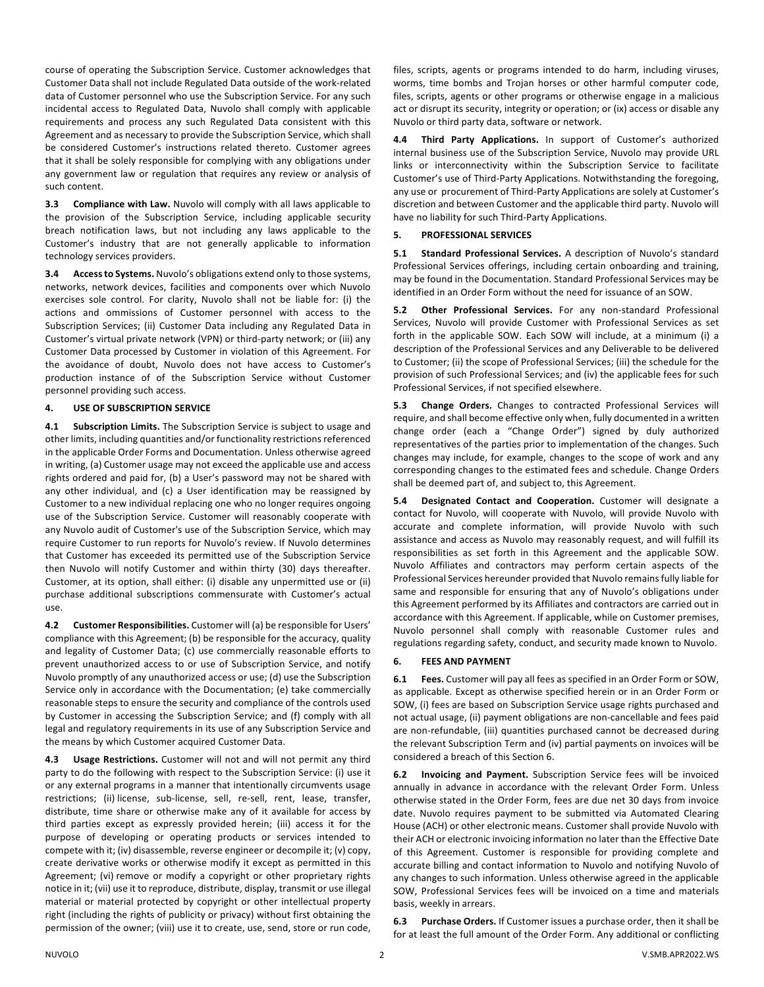course of operating the Subscription Service. Customer acknowledges that Customer Data shall not include Regulated Data outside of the work-related data of Customer personnel who use the Subscription Service. For any such incidental access to Regulated Data, Nuvolo shall comply with applicable requirements and process any such Regulated Data consistent with this Agreement and as necessary to provide the Subscription Service, which shall be considered Customer's instructions related thereto. Customer agrees that it shall be solely responsible for complying with any obligations under any government law or regulation that requires any review or analysis of such content.

**3.3 Compliance with Law.** Nuvolo will comply with all laws applicable to the provision of the Subscription Service, including applicable security breach notification laws, but not including any laws applicable to the Customer's industry that are not generally applicable to information technology services providers.

**3.4 Access to Systems.** Nuvolo's obligations extend only to those systems, networks, network devices, facilities and components over which Nuvolo exercises sole control. For clarity, Nuvolo shall not be liable for: (i) the actions and ommissions of Customer personnel with access to the Subscription Services; (ii) Customer Data including any Regulated Data in Customer's virtual private network (VPN) or third-party network; or (iii) any Customer Data processed by Customer in violation of this Agreement. For the avoidance of doubt, Nuvolo does not have access to Customer's production instance of of the Subscription Service without Customer personnel providing such access.

#### **4. USE OF SUBSCRIPTION SERVICE**

**4.1 Subscription Limits.** The Subscription Service is subject to usage and other limits, including quantities and/or functionality restrictions referenced in the applicable Order Forms and Documentation. Unless otherwise agreed in writing, (a) Customer usage may not exceed the applicable use and access rights ordered and paid for, (b) a User's password may not be shared with any other individual, and (c) a User identification may be reassigned by Customer to a new individual replacing one who no longer requires ongoing use of the Subscription Service. Customer will reasonably cooperate with any Nuvolo audit of Customer's use of the Subscription Service, which may require Customer to run reports for Nuvolo's review. If Nuvolo determines that Customer has exceeded its permitted use of the Subscription Service then Nuvolo will notify Customer and within thirty (30) days thereafter. Customer, at its option, shall either: (i) disable any unpermitted use or (ii) purchase additional subscriptions commensurate with Customer's actual use.

**4.2 Customer Responsibilities.** Customer will (a) be responsible for Users' compliance with this Agreement; (b) be responsible for the accuracy, quality and legality of Customer Data; (c) use commercially reasonable efforts to prevent unauthorized access to or use of Subscription Service, and notify Nuvolo promptly of any unauthorized access or use; (d) use the Subscription Service only in accordance with the Documentation; (e) take commercially reasonable steps to ensure the security and compliance of the controls used by Customer in accessing the Subscription Service; and (f) comply with all legal and regulatory requirements in its use of any Subscription Service and the means by which Customer acquired Customer Data.

**4.3 Usage Restrictions.** Customer will not and will not permit any third party to do the following with respect to the Subscription Service: (i) use it or any external programs in a manner that intentionally circumvents usage restrictions; (ii) license, sub-license, sell, re-sell, rent, lease, transfer, distribute, time share or otherwise make any of it available for access by third parties except as expressly provided herein; (iii) access it for the purpose of developing or operating products or services intended to compete with it; (iv) disassemble, reverse engineer or decompile it; (v) copy, create derivative works or otherwise modify it except as permitted in this Agreement; (vi) remove or modify a copyright or other proprietary rights notice in it; (vii) use it to reproduce, distribute, display, transmit or use illegal material or material protected by copyright or other intellectual property right (including the rights of publicity or privacy) without first obtaining the permission of the owner; (viii) use it to create, use, send, store or run code,

files, scripts, agents or programs intended to do harm, including viruses, worms, time bombs and Trojan horses or other harmful computer code, files, scripts, agents or other programs or otherwise engage in a malicious act or disrupt its security, integrity or operation; or (ix) access or disable any Nuvolo or third party data, software or network.

**4.4 Third Party Applications.** In support of Customer's authorized internal business use of the Subscription Service, Nuvolo may provide URL links or interconnectivity within the Subscription Service to facilitate Customer's use of Third-Party Applications. Notwithstanding the foregoing, any use or procurement of Third-Party Applications are solely at Customer's discretion and between Customer and the applicable third party. Nuvolo will have no liability for such Third-Party Applications.

#### **5. PROFESSIONAL SERVICES**

**5.1 Standard Professional Services.** A description of Nuvolo's standard Professional Services offerings, including certain onboarding and training, may be found in the Documentation. Standard Professional Services may be identified in an Order Form without the need for issuance of an SOW.

**5.2 Other Professional Services.** For any non-standard Professional Services, Nuvolo will provide Customer with Professional Services as set forth in the applicable SOW. Each SOW will include, at a minimum (i) a description of the Professional Services and any Deliverable to be delivered to Customer; (ii) the scope of Professional Services; (iii) the schedule for the provision of such Professional Services; and (iv) the applicable fees for such Professional Services, if not specified elsewhere.

**5.3 Change Orders.** Changes to contracted Professional Services will require, and shall become effective only when, fully documented in a written change order (each a "Change Order") signed by duly authorized representatives of the parties prior to implementation of the changes. Such changes may include, for example, changes to the scope of work and any corresponding changes to the estimated fees and schedule. Change Orders shall be deemed part of, and subject to, this Agreement.

**5.4 Designated Contact and Cooperation.** Customer will designate a contact for Nuvolo, will cooperate with Nuvolo, will provide Nuvolo with accurate and complete information, will provide Nuvolo with such assistance and access as Nuvolo may reasonably request, and will fulfill its responsibilities as set forth in this Agreement and the applicable SOW. Nuvolo Affiliates and contractors may perform certain aspects of the Professional Services hereunder provided that Nuvolo remainsfully liable for same and responsible for ensuring that any of Nuvolo's obligations under this Agreement performed by its Affiliates and contractors are carried out in accordance with this Agreement. If applicable, while on Customer premises, Nuvolo personnel shall comply with reasonable Customer rules and regulations regarding safety, conduct, and security made known to Nuvolo.

#### **6. FEES AND PAYMENT**

**6.1 Fees.** Customer will pay all fees as specified in an Order Form or SOW, as applicable. Except as otherwise specified herein or in an Order Form or SOW, (i) fees are based on Subscription Service usage rights purchased and not actual usage, (ii) payment obligations are non-cancellable and fees paid are non-refundable, (iii) quantities purchased cannot be decreased during the relevant Subscription Term and (iv) partial payments on invoices will be considered a breach of this Section 6.

**6.2 Invoicing and Payment.** Subscription Service fees will be invoiced annually in advance in accordance with the relevant Order Form. Unless otherwise stated in the Order Form, fees are due net 30 days from invoice date. Nuvolo requires payment to be submitted via Automated Clearing House (ACH) or other electronic means. Customer shall provide Nuvolo with their ACH or electronic invoicing information no later than the Effective Date of this Agreement. Customer is responsible for providing complete and accurate billing and contact information to Nuvolo and notifying Nuvolo of any changes to such information. Unless otherwise agreed in the applicable SOW, Professional Services fees will be invoiced on a time and materials basis, weekly in arrears.

**6.3 Purchase Orders.** If Customer issues a purchase order, then it shall be for at least the full amount of the Order Form. Any additional or conflicting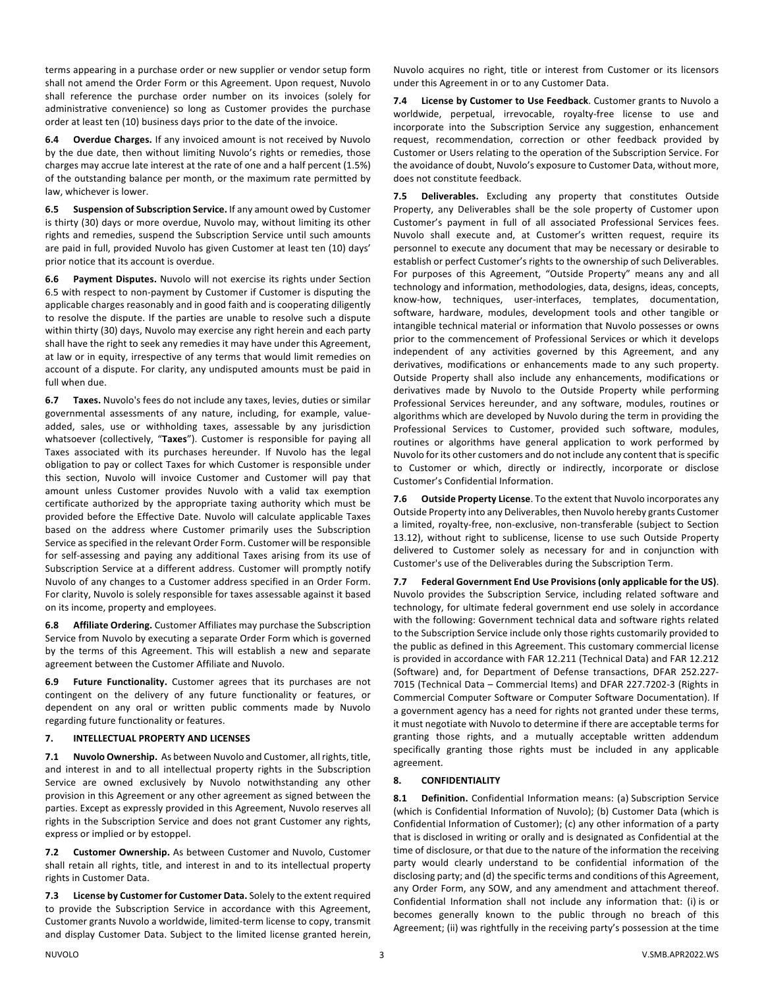terms appearing in a purchase order or new supplier or vendor setup form shall not amend the Order Form or this Agreement. Upon request, Nuvolo shall reference the purchase order number on its invoices (solely for administrative convenience) so long as Customer provides the purchase order at least ten (10) business days prior to the date of the invoice.

**6.4 Overdue Charges.** If any invoiced amount is not received by Nuvolo by the due date, then without limiting Nuvolo's rights or remedies, those charges may accrue late interest at the rate of one and a half percent (1.5%) of the outstanding balance per month, or the maximum rate permitted by law, whichever is lower.

**6.5 Suspension of Subscription Service.** If any amount owed by Customer is thirty (30) days or more overdue, Nuvolo may, without limiting its other rights and remedies, suspend the Subscription Service until such amounts are paid in full, provided Nuvolo has given Customer at least ten (10) days' prior notice that its account is overdue.

**6.6 Payment Disputes.** Nuvolo will not exercise its rights under Section 6.5 with respect to non-payment by Customer if Customer is disputing the applicable charges reasonably and in good faith and is cooperating diligently to resolve the dispute. If the parties are unable to resolve such a dispute within thirty (30) days, Nuvolo may exercise any right herein and each party shall have the right to seek any remedies it may have under this Agreement, at law or in equity, irrespective of any terms that would limit remedies on account of a dispute. For clarity, any undisputed amounts must be paid in full when due.

**6.7 Taxes.** Nuvolo's fees do not include any taxes, levies, duties or similar governmental assessments of any nature, including, for example, valueadded, sales, use or withholding taxes, assessable by any jurisdiction whatsoever (collectively, "**Taxes**"). Customer is responsible for paying all Taxes associated with its purchases hereunder. If Nuvolo has the legal obligation to pay or collect Taxes for which Customer is responsible under this section, Nuvolo will invoice Customer and Customer will pay that amount unless Customer provides Nuvolo with a valid tax exemption certificate authorized by the appropriate taxing authority which must be provided before the Effective Date. Nuvolo will calculate applicable Taxes based on the address where Customer primarily uses the Subscription Service as specified in the relevant Order Form. Customer will be responsible for self-assessing and paying any additional Taxes arising from its use of Subscription Service at a different address. Customer will promptly notify Nuvolo of any changes to a Customer address specified in an Order Form. For clarity, Nuvolo is solely responsible for taxes assessable against it based on its income, property and employees.

**6.8 Affiliate Ordering.** Customer Affiliates may purchase the Subscription Service from Nuvolo by executing a separate Order Form which is governed by the terms of this Agreement. This will establish a new and separate agreement between the Customer Affiliate and Nuvolo.

**6.9 Future Functionality.** Customer agrees that its purchases are not contingent on the delivery of any future functionality or features, or dependent on any oral or written public comments made by Nuvolo regarding future functionality or features.

### **7. INTELLECTUAL PROPERTY AND LICENSES**

**7.1 Nuvolo Ownership.** As between Nuvolo and Customer, all rights, title, and interest in and to all intellectual property rights in the Subscription Service are owned exclusively by Nuvolo notwithstanding any other provision in this Agreement or any other agreement as signed between the parties. Except as expressly provided in this Agreement, Nuvolo reserves all rights in the Subscription Service and does not grant Customer any rights, express or implied or by estoppel.

**7.2 Customer Ownership.** As between Customer and Nuvolo, Customer shall retain all rights, title, and interest in and to its intellectual property rights in Customer Data.

**7.3 License by Customer for Customer Data.** Solely to the extent required to provide the Subscription Service in accordance with this Agreement, Customer grants Nuvolo a worldwide, limited-term license to copy, transmit and display Customer Data. Subject to the limited license granted herein,

Nuvolo acquires no right, title or interest from Customer or its licensors under this Agreement in or to any Customer Data.

**7.4 License by Customer to Use Feedback**. Customer grants to Nuvolo a worldwide, perpetual, irrevocable, royalty-free license to use and incorporate into the Subscription Service any suggestion, enhancement request, recommendation, correction or other feedback provided by Customer or Users relating to the operation of the Subscription Service. For the avoidance of doubt, Nuvolo's exposure to Customer Data, without more, does not constitute feedback.

**7.5 Deliverables.** Excluding any property that constitutes Outside Property, any Deliverables shall be the sole property of Customer upon Customer's payment in full of all associated Professional Services fees. Nuvolo shall execute and, at Customer's written request, require its personnel to execute any document that may be necessary or desirable to establish or perfect Customer's rights to the ownership of such Deliverables. For purposes of this Agreement, "Outside Property" means any and all technology and information, methodologies, data, designs, ideas, concepts, know-how, techniques, user-interfaces, templates, documentation, software, hardware, modules, development tools and other tangible or intangible technical material or information that Nuvolo possesses or owns prior to the commencement of Professional Services or which it develops independent of any activities governed by this Agreement, and any derivatives, modifications or enhancements made to any such property. Outside Property shall also include any enhancements, modifications or derivatives made by Nuvolo to the Outside Property while performing Professional Services hereunder, and any software, modules, routines or algorithms which are developed by Nuvolo during the term in providing the Professional Services to Customer, provided such software, modules, routines or algorithms have general application to work performed by Nuvolo for its other customers and do not include any content that is specific to Customer or which, directly or indirectly, incorporate or disclose Customer's Confidential Information.

**7.6 Outside Property License**. To the extent that Nuvolo incorporates any Outside Property into any Deliverables, then Nuvolo hereby grants Customer a limited, royalty-free, non-exclusive, non-transferable (subject to Section 13.12), without right to sublicense, license to use such Outside Property delivered to Customer solely as necessary for and in conjunction with Customer's use of the Deliverables during the Subscription Term.

**7.7 Federal Government End Use Provisions(only applicable for the US)**. Nuvolo provides the Subscription Service, including related software and technology, for ultimate federal government end use solely in accordance with the following: Government technical data and software rights related to the Subscription Service include only those rights customarily provided to the public as defined in this Agreement. This customary commercial license is provided in accordance with FAR 12.211 (Technical Data) and FAR 12.212 (Software) and, for Department of Defense transactions, DFAR 252.227- 7015 (Technical Data – Commercial Items) and DFAR 227.7202-3 (Rights in Commercial Computer Software or Computer Software Documentation). If a government agency has a need for rights not granted under these terms, it must negotiate with Nuvolo to determine if there are acceptable terms for granting those rights, and a mutually acceptable written addendum specifically granting those rights must be included in any applicable agreement.

### **8. CONFIDENTIALITY**

**8.1 Definition.** Confidential Information means: (a) Subscription Service (which is Confidential Information of Nuvolo); (b) Customer Data (which is Confidential Information of Customer); (c) any other information of a party that is disclosed in writing or orally and is designated as Confidential at the time of disclosure, or that due to the nature of the information the receiving party would clearly understand to be confidential information of the disclosing party; and (d) the specific terms and conditions of this Agreement, any Order Form, any SOW, and any amendment and attachment thereof. Confidential Information shall not include any information that: (i) is or becomes generally known to the public through no breach of this Agreement; (ii) was rightfully in the receiving party's possession at the time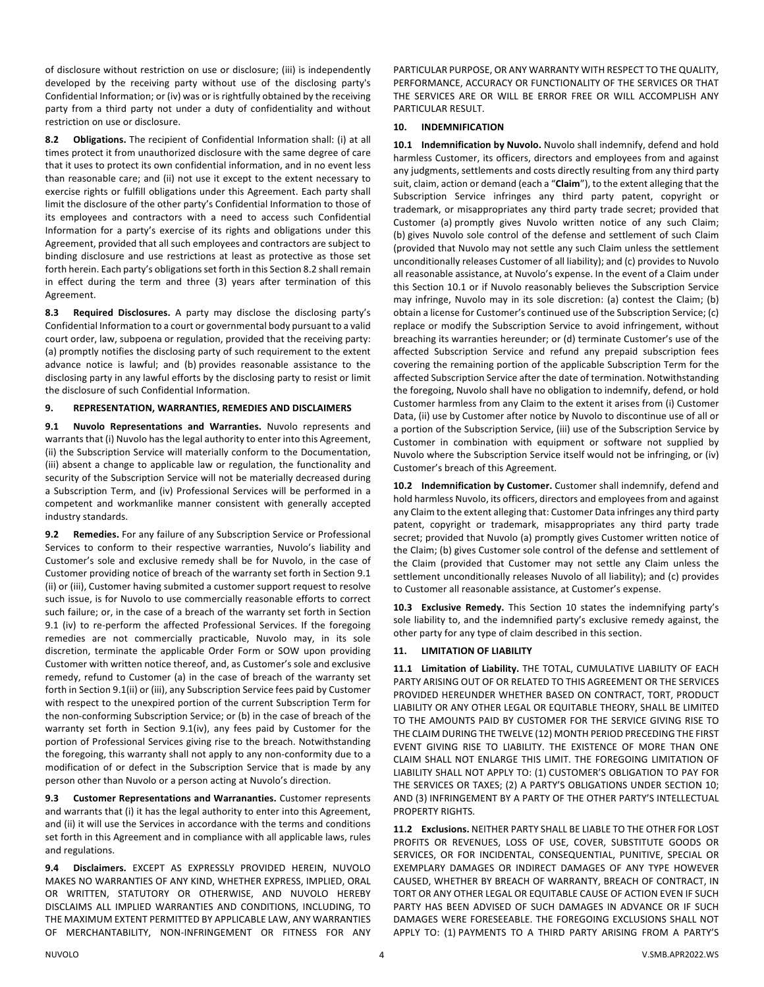of disclosure without restriction on use or disclosure; (iii) is independently developed by the receiving party without use of the disclosing party's Confidential Information; or (iv) was or is rightfully obtained by the receiving party from a third party not under a duty of confidentiality and without restriction on use or disclosure.

**8.2 Obligations.** The recipient of Confidential Information shall: (i) at all times protect it from unauthorized disclosure with the same degree of care that it uses to protect its own confidential information, and in no event less than reasonable care; and (ii) not use it except to the extent necessary to exercise rights or fulfill obligations under this Agreement. Each party shall limit the disclosure of the other party's Confidential Information to those of its employees and contractors with a need to access such Confidential Information for a party's exercise of its rights and obligations under this Agreement, provided that all such employees and contractors are subject to binding disclosure and use restrictions at least as protective as those set forth herein. Each party's obligations set forth in this Section 8.2 shall remain in effect during the term and three (3) years after termination of this Agreement.

**8.3 Required Disclosures.** A party may disclose the disclosing party's Confidential Information to a court or governmental body pursuant to a valid court order, law, subpoena or regulation, provided that the receiving party: (a) promptly notifies the disclosing party of such requirement to the extent advance notice is lawful; and (b) provides reasonable assistance to the disclosing party in any lawful efforts by the disclosing party to resist or limit the disclosure of such Confidential Information.

### **9. REPRESENTATION, WARRANTIES, REMEDIES AND DISCLAIMERS**

**9.1 Nuvolo Representations and Warranties.** Nuvolo represents and warrants that (i) Nuvolo has the legal authority to enter into this Agreement, (ii) the Subscription Service will materially conform to the Documentation, (iii) absent a change to applicable law or regulation, the functionality and security of the Subscription Service will not be materially decreased during a Subscription Term, and (iv) Professional Services will be performed in a competent and workmanlike manner consistent with generally accepted industry standards.

**9.2 Remedies.** For any failure of any Subscription Service or Professional Services to conform to their respective warranties, Nuvolo's liability and Customer's sole and exclusive remedy shall be for Nuvolo, in the case of Customer providing notice of breach of the warranty set forth in Section 9.1 (ii) or (iii), Customer having submited a customer support request to resolve such issue, is for Nuvolo to use commercially reasonable efforts to correct such failure; or, in the case of a breach of the warranty set forth in Section 9.1 (iv) to re-perform the affected Professional Services. If the foregoing remedies are not commercially practicable, Nuvolo may, in its sole discretion, terminate the applicable Order Form or SOW upon providing Customer with written notice thereof, and, as Customer's sole and exclusive remedy, refund to Customer (a) in the case of breach of the warranty set forth in Section 9.1(ii) or (iii), any Subscription Service fees paid by Customer with respect to the unexpired portion of the current Subscription Term for the non-conforming Subscription Service; or (b) in the case of breach of the warranty set forth in Section 9.1(iv), any fees paid by Customer for the portion of Professional Services giving rise to the breach. Notwithstanding the foregoing, this warranty shall not apply to any non-conformity due to a modification of or defect in the Subscription Service that is made by any person other than Nuvolo or a person acting at Nuvolo's direction.

**9.3 Customer Representations and Warrananties.** Customer represents and warrants that (i) it has the legal authority to enter into this Agreement, and (ii) it will use the Services in accordance with the terms and conditions set forth in this Agreement and in compliance with all applicable laws, rules and regulations.

**9.4 Disclaimers.** EXCEPT AS EXPRESSLY PROVIDED HEREIN, NUVOLO MAKES NO WARRANTIES OF ANY KIND, WHETHER EXPRESS, IMPLIED, ORAL OR WRITTEN, STATUTORY OR OTHERWISE, AND NUVOLO HEREBY DISCLAIMS ALL IMPLIED WARRANTIES AND CONDITIONS, INCLUDING, TO THE MAXIMUM EXTENT PERMITTED BY APPLICABLE LAW, ANY WARRANTIES OF MERCHANTABILITY, NON-INFRINGEMENT OR FITNESS FOR ANY

PARTICULAR PURPOSE, OR ANY WARRANTY WITH RESPECT TO THE QUALITY, PERFORMANCE, ACCURACY OR FUNCTIONALITY OF THE SERVICES OR THAT THE SERVICES ARE OR WILL BE ERROR FREE OR WILL ACCOMPLISH ANY PARTICULAR RESULT.

### **10. INDEMNIFICATION**

**10.1 Indemnification by Nuvolo.** Nuvolo shall indemnify, defend and hold harmless Customer, its officers, directors and employees from and against any judgments, settlements and costs directly resulting from any third party suit, claim, action or demand (each a "**Claim**"), to the extent alleging that the Subscription Service infringes any third party patent, copyright or trademark, or misappropriates any third party trade secret; provided that Customer (a) promptly gives Nuvolo written notice of any such Claim; (b) gives Nuvolo sole control of the defense and settlement of such Claim (provided that Nuvolo may not settle any such Claim unless the settlement unconditionally releases Customer of all liability); and (c) provides to Nuvolo all reasonable assistance, at Nuvolo's expense. In the event of a Claim under this Section 10.1 or if Nuvolo reasonably believes the Subscription Service may infringe, Nuvolo may in its sole discretion: (a) contest the Claim; (b) obtain a license for Customer's continued use of the Subscription Service; (c) replace or modify the Subscription Service to avoid infringement, without breaching its warranties hereunder; or (d) terminate Customer's use of the affected Subscription Service and refund any prepaid subscription fees covering the remaining portion of the applicable Subscription Term for the affected Subscription Service after the date of termination. Notwithstanding the foregoing, Nuvolo shall have no obligation to indemnify, defend, or hold Customer harmless from any Claim to the extent it arises from (i) Customer Data, (ii) use by Customer after notice by Nuvolo to discontinue use of all or a portion of the Subscription Service, (iii) use of the Subscription Service by Customer in combination with equipment or software not supplied by Nuvolo where the Subscription Service itself would not be infringing, or (iv) Customer's breach of this Agreement.

**10.2 Indemnification by Customer.** Customer shall indemnify, defend and hold harmless Nuvolo, its officers, directors and employees from and against any Claim to the extent alleging that: Customer Data infringes any third party patent, copyright or trademark, misappropriates any third party trade secret; provided that Nuvolo (a) promptly gives Customer written notice of the Claim; (b) gives Customer sole control of the defense and settlement of the Claim (provided that Customer may not settle any Claim unless the settlement unconditionally releases Nuvolo of all liability); and (c) provides to Customer all reasonable assistance, at Customer's expense.

**10.3 Exclusive Remedy.** This Section 10 states the indemnifying party's sole liability to, and the indemnified party's exclusive remedy against, the other party for any type of claim described in this section.

# **11. LIMITATION OF LIABILITY**

**11.1 Limitation of Liability.** THE TOTAL, CUMULATIVE LIABILITY OF EACH PARTY ARISING OUT OF OR RELATED TO THIS AGREEMENT OR THE SERVICES PROVIDED HEREUNDER WHETHER BASED ON CONTRACT, TORT, PRODUCT LIABILITY OR ANY OTHER LEGAL OR EQUITABLE THEORY, SHALL BE LIMITED TO THE AMOUNTS PAID BY CUSTOMER FOR THE SERVICE GIVING RISE TO THE CLAIM DURING THE TWELVE (12) MONTH PERIOD PRECEDING THE FIRST EVENT GIVING RISE TO LIABILITY. THE EXISTENCE OF MORE THAN ONE CLAIM SHALL NOT ENLARGE THIS LIMIT. THE FOREGOING LIMITATION OF LIABILITY SHALL NOT APPLY TO: (1) CUSTOMER'S OBLIGATION TO PAY FOR THE SERVICES OR TAXES; (2) A PARTY'S OBLIGATIONS UNDER SECTION 10; AND (3) INFRINGEMENT BY A PARTY OF THE OTHER PARTY'S INTELLECTUAL PROPERTY RIGHTS.

**11.2 Exclusions.** NEITHER PARTY SHALL BE LIABLE TO THE OTHER FOR LOST PROFITS OR REVENUES, LOSS OF USE, COVER, SUBSTITUTE GOODS OR SERVICES, OR FOR INCIDENTAL, CONSEQUENTIAL, PUNITIVE, SPECIAL OR EXEMPLARY DAMAGES OR INDIRECT DAMAGES OF ANY TYPE HOWEVER CAUSED, WHETHER BY BREACH OF WARRANTY, BREACH OF CONTRACT, IN TORT OR ANY OTHER LEGAL OR EQUITABLE CAUSE OF ACTION EVEN IF SUCH PARTY HAS BEEN ADVISED OF SUCH DAMAGES IN ADVANCE OR IF SUCH DAMAGES WERE FORESEEABLE. THE FOREGOING EXCLUSIONS SHALL NOT APPLY TO: (1) PAYMENTS TO A THIRD PARTY ARISING FROM A PARTY'S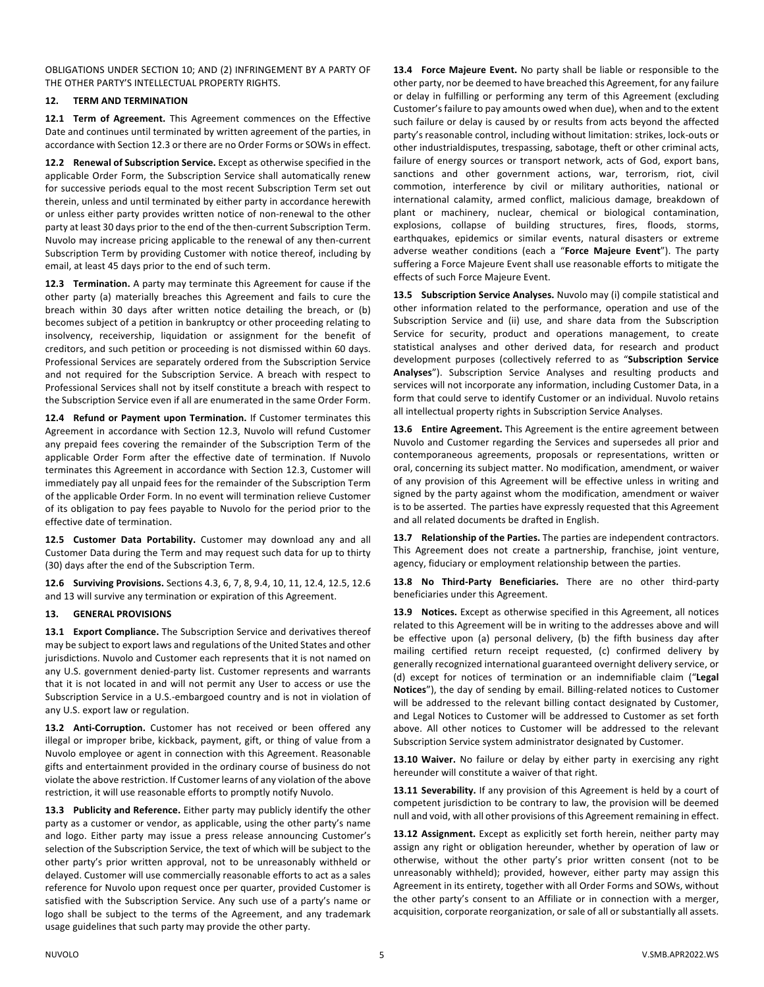OBLIGATIONS UNDER SECTION 10; AND (2) INFRINGEMENT BY A PARTY OF THE OTHER PARTY'S INTELLECTUAL PROPERTY RIGHTS.

## **12. TERM AND TERMINATION**

**12.1 Term of Agreement.** This Agreement commences on the Effective Date and continues until terminated by written agreement of the parties, in accordance with Section 12.3 or there are no Order Forms or SOWs in effect.

**12.2 Renewal of Subscription Service.** Except as otherwise specified in the applicable Order Form, the Subscription Service shall automatically renew for successive periods equal to the most recent Subscription Term set out therein, unless and until terminated by either party in accordance herewith or unless either party provides written notice of non-renewal to the other party at least 30 days prior to the end of the then-current Subscription Term. Nuvolo may increase pricing applicable to the renewal of any then-current Subscription Term by providing Customer with notice thereof, including by email, at least 45 days prior to the end of such term.

**12.3 Termination.** A party may terminate this Agreement for cause if the other party (a) materially breaches this Agreement and fails to cure the breach within 30 days after written notice detailing the breach, or (b) becomes subject of a petition in bankruptcy or other proceeding relating to insolvency, receivership, liquidation or assignment for the benefit of creditors, and such petition or proceeding is not dismissed within 60 days. Professional Services are separately ordered from the Subscription Service and not required for the Subscription Service. A breach with respect to Professional Services shall not by itself constitute a breach with respect to the Subscription Service even if all are enumerated in the same Order Form.

**12.4 Refund or Payment upon Termination.** If Customer terminates this Agreement in accordance with Section 12.3, Nuvolo will refund Customer any prepaid fees covering the remainder of the Subscription Term of the applicable Order Form after the effective date of termination. If Nuvolo terminates this Agreement in accordance with Section 12.3, Customer will immediately pay all unpaid fees for the remainder of the Subscription Term of the applicable Order Form. In no event will termination relieve Customer of its obligation to pay fees payable to Nuvolo for the period prior to the effective date of termination.

**12.5 Customer Data Portability.** Customer may download any and all Customer Data during the Term and may request such data for up to thirty (30) days after the end of the Subscription Term.

**12.6 Surviving Provisions.** Sections 4.3, 6, 7, 8, 9.4, 10, 11, 12.4, 12.5, 12.6 and 13 will survive any termination or expiration of this Agreement.

## **13. GENERAL PROVISIONS**

**13.1 Export Compliance.** The Subscription Service and derivatives thereof may be subject to export laws and regulations of the United States and other jurisdictions. Nuvolo and Customer each represents that it is not named on any U.S. government denied-party list. Customer represents and warrants that it is not located in and will not permit any User to access or use the Subscription Service in a U.S.-embargoed country and is not in violation of any U.S. export law or regulation.

**13.2 Anti-Corruption.** Customer has not received or been offered any illegal or improper bribe, kickback, payment, gift, or thing of value from a Nuvolo employee or agent in connection with this Agreement. Reasonable gifts and entertainment provided in the ordinary course of business do not violate the above restriction. If Customer learns of any violation of the above restriction, it will use reasonable efforts to promptly notify Nuvolo.

**13.3 Publicity and Reference.** Either party may publicly identify the other party as a customer or vendor, as applicable, using the other party's name and logo. Either party may issue a press release announcing Customer's selection of the Subscription Service, the text of which will be subject to the other party's prior written approval, not to be unreasonably withheld or delayed. Customer will use commercially reasonable efforts to act as a sales reference for Nuvolo upon request once per quarter, provided Customer is satisfied with the Subscription Service. Any such use of a party's name or logo shall be subject to the terms of the Agreement, and any trademark usage guidelines that such party may provide the other party.

**13.4 Force Majeure Event.** No party shall be liable or responsible to the other party, nor be deemed to have breached this Agreement, for any failure or delay in fulfilling or performing any term of this Agreement (excluding Customer's failure to pay amounts owed when due), when and to the extent such failure or delay is caused by or results from acts beyond the affected party's reasonable control, including without limitation: strikes, lock-outs or other industrialdisputes, trespassing, sabotage, theft or other criminal acts, failure of energy sources or transport network, acts of God, export bans, sanctions and other government actions, war, terrorism, riot, civil commotion, interference by civil or military authorities, national or international calamity, armed conflict, malicious damage, breakdown of plant or machinery, nuclear, chemical or biological contamination, explosions, collapse of building structures, fires, floods, storms, earthquakes, epidemics or similar events, natural disasters or extreme adverse weather conditions (each a "**Force Majeure Event**"). The party suffering a Force Majeure Event shall use reasonable efforts to mitigate the effects of such Force Majeure Event.

**13.5 Subscription Service Analyses.** Nuvolo may (i) compile statistical and other information related to the performance, operation and use of the Subscription Service and (ii) use, and share data from the Subscription Service for security, product and operations management, to create statistical analyses and other derived data, for research and product development purposes (collectively referred to as "**Subscription Service Analyses**"). Subscription Service Analyses and resulting products and services will not incorporate any information, including Customer Data, in a form that could serve to identify Customer or an individual. Nuvolo retains all intellectual property rights in Subscription Service Analyses.

**13.6 Entire Agreement.** This Agreement is the entire agreement between Nuvolo and Customer regarding the Services and supersedes all prior and contemporaneous agreements, proposals or representations, written or oral, concerning its subject matter. No modification, amendment, or waiver of any provision of this Agreement will be effective unless in writing and signed by the party against whom the modification, amendment or waiver is to be asserted. The parties have expressly requested that this Agreement and all related documents be drafted in English.

**13.7 Relationship of the Parties.** The parties are independent contractors. This Agreement does not create a partnership, franchise, joint venture, agency, fiduciary or employment relationship between the parties.

**13.8 No Third-Party Beneficiaries.** There are no other third-party beneficiaries under this Agreement.

**13.9 Notices.** Except as otherwise specified in this Agreement, all notices related to this Agreement will be in writing to the addresses above and will be effective upon (a) personal delivery, (b) the fifth business day after mailing certified return receipt requested, (c) confirmed delivery by generally recognized international guaranteed overnight delivery service, or (d) except for notices of termination or an indemnifiable claim ("**Legal Notices**"), the day of sending by email. Billing-related notices to Customer will be addressed to the relevant billing contact designated by Customer, and Legal Notices to Customer will be addressed to Customer as set forth above. All other notices to Customer will be addressed to the relevant Subscription Service system administrator designated by Customer.

**13.10 Waiver.** No failure or delay by either party in exercising any right hereunder will constitute a waiver of that right.

**13.11 Severability.** If any provision of this Agreement is held by a court of competent jurisdiction to be contrary to law, the provision will be deemed null and void, with all other provisions of this Agreement remaining in effect.

**13.12 Assignment.** Except as explicitly set forth herein, neither party may assign any right or obligation hereunder, whether by operation of law or otherwise, without the other party's prior written consent (not to be unreasonably withheld); provided, however, either party may assign this Agreement in its entirety, together with all Order Forms and SOWs, without the other party's consent to an Affiliate or in connection with a merger, acquisition, corporate reorganization, or sale of all or substantially all assets.